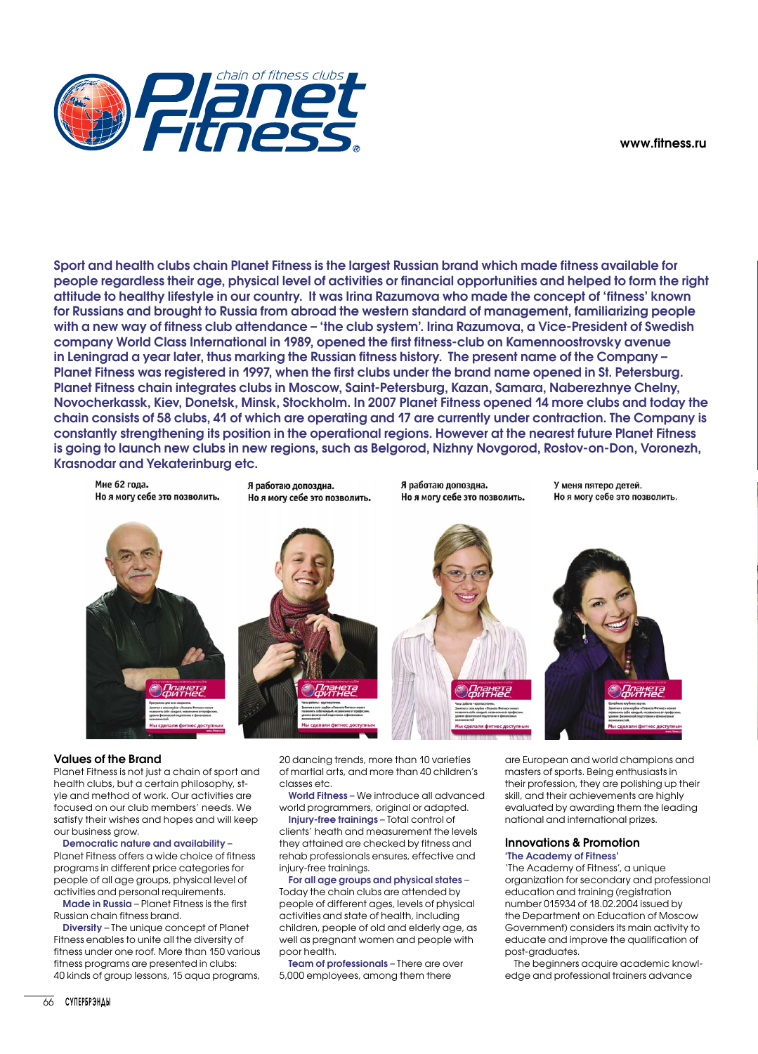www.fitness.ru



Sport and health clubs chain Planet Fitness is the largest Russian brand which made fitness available for people regardless their age, physical level of activities or financial opportunities and helped to form the right attitude to healthy lifestyle in our country. It was Irina Razumova who made the concept of 'fitness' known for Russians and brought to Russia from abroad the western standard of management, familiarizing people with a new way of fitness club attendance – 'the club system'. Irina Razumova, a Vice-President of Swedish company World Class International in 1989, opened the first fitness-club on Kamennoostrovsky avenue in Leningrad a year later, thus marking the Russian fitness history. The present name of the Company – Planet Fitness was registered in 1997, when the first clubs under the brand name opened in St. Petersburg. Planet Fitness chain integrates clubs in Moscow, Saint-Petersburg, Kazan, Samara, Naberezhnye Chelny, Novocherkassk, Kiev, Donetsk, Minsk, Stockholm. In 2007 Planet Fitness opened 14 more clubs and today the chain consists of 58 clubs, 41 of which are operating and 17 are currently under contraction. The Company is constantly strengthening its position in the operational regions. However at the nearest future Planet Fitness is going to launch new clubs in new regions, such as Belgorod, Nizhny Novgorod, Rostov-on-Don, Voronezh, Krasnodar and Yekaterinburg etc.

Мне 62 года. Но я могу себе это позволить. Я работаю допоздна. Но я могу себе это позволить. Я работаю допоздна. Но я могу себе это позволить.

У меня пятеро детей. Но я могу себе это позволить.



# Values of the Brand

Planet Fitness is not just a chain of sport and health clubs, but a certain philosophy, style and method of work. Our activities are focused on our club members' needs. We satisfy their wishes and hopes and will keep our business grow.

Democratic nature and availability – Planet Fitness offers a wide choice of fitness programs in different price categories for people of all age groups, physical level of activities and personal requirements.

Made in Russia – Planet Fitness is the first Russian chain fitness brand.

Diversity – The unique concept of Planet Fitness enables to unite all the diversity of fitness under one roof. More than 150 various fitness programs are presented in clubs: 40 kinds of group lessons, 15 aqua programs,

20 dancing trends, more than 10 varieties of martial arts, and more than 40 children's classes etc.

World Fitness – We introduce all advanced world programmers, original or adapted.

Injury-free trainings – Total control of clients' heath and measurement the levels they attained are checked by fitness and rehab professionals ensures, effective and injury-free trainings.

For all age groups and physical states – Today the chain clubs are attended by people of different ages, levels of physical activities and state of health, including children, people of old and elderly age, as well as pregnant women and people with poor health.

Team of professionals – There are over 5,000 employees, among them there

are European and world champions and masters of sports. Being enthusiasts in their profession, they are polishing up their skill, and their achievements are highly evaluated by awarding them the leading national and international prizes.

### Innovations & Promotion 'The Academy of Fitness'

'The Academy of Fitness', a unique organization for secondary and professional education and training (registration number 015934 of 18.02.2004 issued by the Department on Education of Moscow Government) considers its main activity to educate and improve the qualification of post-graduates.

The beginners acquire academic knowledge and professional trainers advance